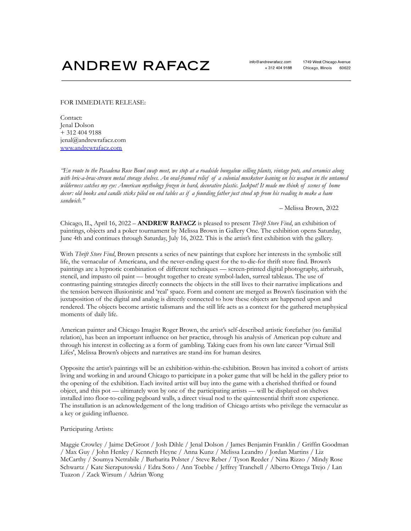## **ANDREW RAFACZ**

## FOR IMMEDIATE RELEASE:

Contact: Jenal Dolson + 312 404 9188 jenal@andrewrafacz.com [www.andrewrafacz.com](http://www.andrewrafacz.com)

"En route to the Pasadena Rose Bowl swap meet, we stop at a roadside bungalow selling plants, vintage pots, and ceramics along with bric-a-brac-strewn metal storage shelves. An oval-framed relief of a colonial musketeer leaning on his weapon in the untamed wilderness catches my eye: American mythology frozen in hard, decorative plastic. Jackpot! It made me think of scenes of home decor: old books and candle sticks piled on end tables as if a founding father just stood up from his reading to make a ham *sandwich."*

– Melissa Brown, 2022

Chicago, IL, April 16, 2022 – **ANDREW RAFACZ** is pleased to present *Thrift Store Find*, an exhibition of paintings, objects and a poker tournament by Melissa Brown in Gallery One. The exhibition opens Saturday, June 4th and continues through Saturday, July 16, 2022. This is the artist's first exhibition with the gallery.

With *Thrift Store Find*, Brown presents a series of new paintings that explore her interests in the symbolic still life, the vernacular of Americana, and the never-ending quest for the to-die-for thrift store find. Brown's paintings are a hypnotic combination of different techniques — screen-printed digital photography, airbrush, stencil, and impasto oil paint — brought together to create symbol-laden, surreal tableaus. The use of contrasting painting strategies directly connects the objects in the still lives to their narrative implications and the tension between illusionistic and 'real' space. Form and content are merged as Brown's fascination with the juxtaposition of the digital and analog is directly connected to how these objects are happened upon and rendered. The objects become artistic talismans and the still life acts as a context for the gathered metaphysical moments of daily life.

American painter and Chicago Imagist Roger Brown, the artist's self-described artistic forefather (no familial relation), has been an important influence on her practice, through his analysis of American pop culture and through his interest in collecting as a form of gambling. Taking cues from his own late career 'Virtual Still Lifes', Melissa Brown's objects and narratives are stand-ins for human desires.

Opposite the artist's paintings will be an exhibition-within-the-exhibition. Brown has invited a cohort of artists living and working in and around Chicago to participate in a poker game that will be held in the gallery prior to the opening of the exhibition. Each invited artist will buy into the game with a cherished thrifted or found object, and this pot — ultimately won by one of the participating artists — will be displayed on shelves installed into floor-to-ceiling pegboard walls, a direct visual nod to the quintessential thrift store experience. The installation is an acknowledgement of the long tradition of Chicago artists who privilege the vernacular as a key or guiding influence.

## Participating Artists:

Maggie Crowley / Jaime DeGroot / Josh Dihle / Jenal Dolson / James Benjamin Franklin / Griffin Goodman / Max Guy / John Henley / Kenneth Heyne / Anna Kunz / Melissa Leandro / Jordan Martins / Liz McCarthy / Soumya Netrabile / Barbarita Polster / Steve Reber / Tyson Reeder / Nina Rizzo / Mindy Rose Schwartz / Kate Sierzputowski / Edra Soto / Ann Toebbe / Jeffrey Tranchell / Alberto Ortega Trejo / Lan Tuazon / Zack Wirsum / Adrian Wong